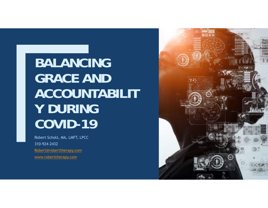# **BALANCING GRACE AND ACCOUNTABILIT Y DURING COVID-19**

Robert Scholz, MA, LMFT, LPCC 310-924-2432Robert@roberttherapy.com www.roberttherapy.com

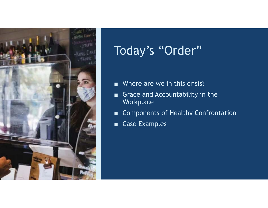

# Today's "Order"

- ■Where are we in this crisis?
- ■ Grace and Accountability in the **Workplace**
- ■Components of Healthy Confrontation
- ■Case Examples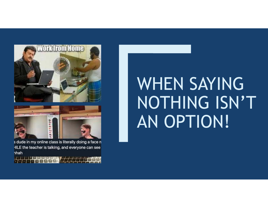



s dude in my online class is literally doing a face n HILE the teacher is talking, and everyone can see hah **THE REAL OR BUILD VALUES WAS VEST OF THE** 

# WHEN SAYING NOTHING ISN'T AN OPTION!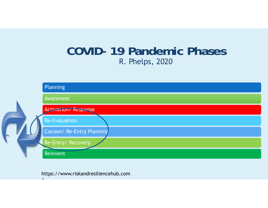#### **COVID- 19 Pandemic Phases**R. Phelps, 2020



https://www.riskandresiliencehub.com

/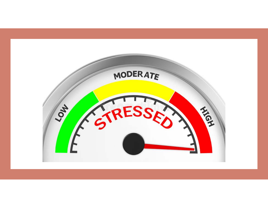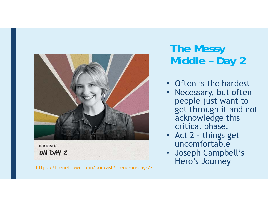

BRENÉ ON DAY 2

https://brenebrown.com/podcast/brene-on-day-2/<br>https://brenebrown.com/podcast/brene-on-day-2/

### **The Messy Middle – Day 2**

- Often is the hardest
- Necessary, but often people just want to get through it and not acknowledge this critical phase.
- Act 2 things get uncomfortable
- Joseph Campbell's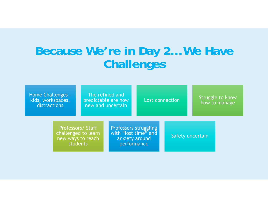## **Because We're in Day 2… We Have Challenges**

| Home Challenges -<br>kids, workspaces,<br>distractions |                                                                          | The refined and<br>predictable are now<br>new and uncertain |                                                                                | Lost connection |  | Struggle to know<br>how to manage |  |
|--------------------------------------------------------|--------------------------------------------------------------------------|-------------------------------------------------------------|--------------------------------------------------------------------------------|-----------------|--|-----------------------------------|--|
|                                                        | Professors/Staff<br>challenged to learn<br>new ways to reach<br>students |                                                             | Professors struggling<br>with "lost time" and<br>anxiety around<br>performance |                 |  | Safety uncertain                  |  |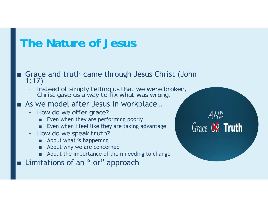### **The Nature of Jesus**

# ■ Grace and truth came through Jesus Christ (John 1:17)

*Instead of simply telling us that we were broken, Christ gave us a way to fix what was wrong.*

#### ■ As we model after Jesus in workplace...

- *How do we offer grace?*
	- Even when they are performing poorly
	- ■Even when I feel like they are taking advantage
- *How do we speak truth?*
	- About what is happening
	- About why we are concerned
	- About the importance of them needing to change

#### ■ Limitations of an " or" approach

AND Grace **DR** Truth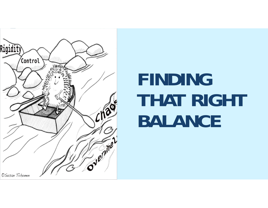

# **FINDING THAT RIGHT BALANCE**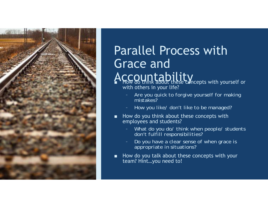

### Parallel Process with Grace and ACCOUntability<br>A How 90 think about these concepts with yourself or with others in your life?

- *Are you quick to forgive yourself for making mistakes?*
- *How you like/ don't like to be managed?*
- ■ How do you think about these concepts with employees and students?
	- *What do you do/ think when people/ students don't fulfill responsibilities?*
	- *Do you have a clear sense of when grace is appropriate in situations?*
- ■ How do you talk about these concepts with your team? Hint…you need to!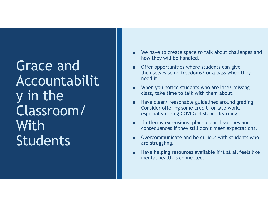Grace and Accountability in the Classroom/ With Students

- We have to create space to talk about challenges and how they will be handled.
- Offer opportunities where students can give themselves some freedoms/ or a pass when they need it.
- When you notice students who are late/ missing class, take time to talk with them about.
- Have clear/ reasonable guidelines around grading. Consider offering some credit for late work, especially during COVID/ distance learning.
- ■ If offering extensions, place clear deadlines and consequences if they still don't meet expectations.
- Overcommunicate and be curious with students who are struggling.
- Have helping resources available if it at all feels like mental health is connected.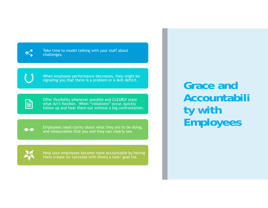

Take time to model talking with your staff about challenges.

When employee performance decreases, they might be signaling you that there is a problem or a skill deficit.



Offer flexibility whenever possible and CLEARLY state what isn't flexible. When "violations" occur, quickly follow up and hear them out without a big confrontation.

 $\bullet\bullet$ 

Employees need clarity about what they are to be doing. and measurables that you and they can clearly see.



Help your employees become more accountable by having them create (or cocreate with them) a task/ goal list.

**Grace and Accountabili ty with Employees**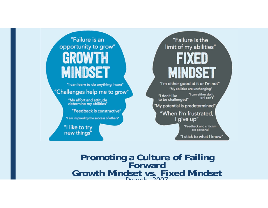### "Failure is an opportunity to grow" GROWTH **MINDSET**

"I can learn to do anything I want"

"Challenges help me to grow"

"My effort and attitude determine my abilities"

"Feedback is constructive"

"I am inspired by the success of others"

"I like to try new things"

"Failure is the limit of my abilities" MINDSET "I'm either good at it or I'm not" "My abilities are unchanging" "I can either do it. "I don't like or I can't" to be challenged" "My potential is predetermined' "When I'm frustrated, I give up" "Feedback and criticism are personal "I stick to what I know"

**Promoting a Culture of Failing Forward Growth Mindset vs. Fixed Mindset** Dwaak 2007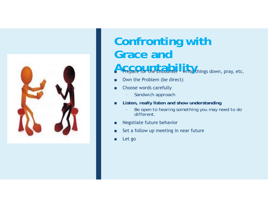

# **Confronting with Grace and**

- **Accountability**<br>**Prepare for the Encounter write things down, pray, etc.** ■
- ■Own the Problem (be direct)
- ■ Choose words carefully
	- –*Sandwich approach*
- ■ **Listen, really listen and show understanding**
	- *Be open to hearing something you may need to do different.*
- ■Negotiate future behavior
- ■Set a follow up meeting in near future
- ■Let go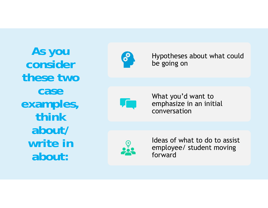**As you consider these two case examples, think about/ write in about:**



Hypotheses about what could be going on

What you'd want to emphasize in an initial conversation



Ideas of what to do to assist employee/ student moving forward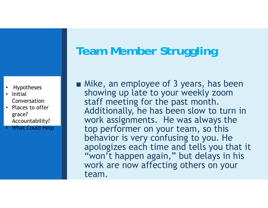- •Hypotheses
- • Initial Conversation
- Places to offer grace? Accountability?
- •What Could Help

# **Team Member Struggling**

■ Mike, an employee of 3 years, has been showing up late to your weekly zoom staff meeting for the past month. Additionally, he has been slow to turn in work assignments. He was always the top performer on your team, so this behavior is very confusing to you. He apologizes each time and tells you that it "won't happen again," but delays in his work are now affecting others on your team.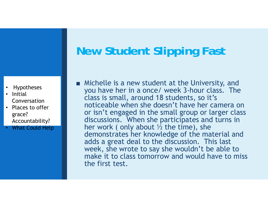# **New Student Slipping Fast**

- •Hypotheses
- • Initial Conversation
- Places to offer grace? Accountability?
- •What Could Help

■ Michelle is a new student at the University, and you have her in a once/ week 3-hour class. The class is small, around 18 students, so it's noticeable when she doesn't have her camera on or isn't engaged in the small group or larger class discussions. When she participates and turns in her work ( only about  $\frac{1}{2}$  the time), she demonstrates her knowledge of the material and adds a great deal to the discussion. This last week, she wrote to say she wouldn't be able to make it to class tomorrow and would have to miss the first test.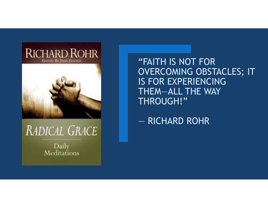

# RADICAL GRACE

Daily Meditations

"FAITH IS NOT FOR OVERCOMING OBSTACLES; IT IS FOR EXPERIENCING THEM—ALL THE WAY THROUGH!"

― RICHARD ROHR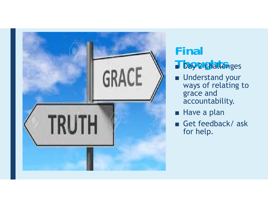

# **Final**   $\overline{\phantom{a}}$  bay 2 Ghallenges

- Understand your ways of relating to grace and accountability.
- Have a plan
- ■ Get feedback/ ask for help.